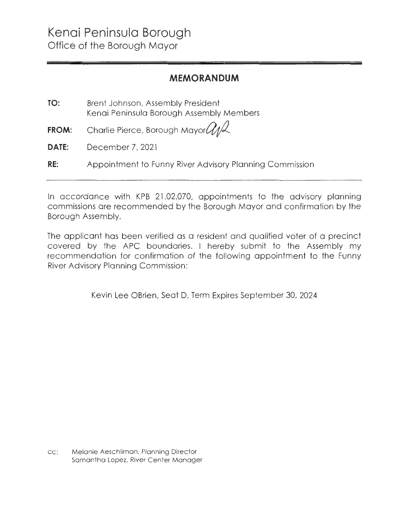### **MEMORANDUM**

| TO:          | Brent Johnson, Assembly President<br>Kenai Peninsula Borough Assembly Members |
|--------------|-------------------------------------------------------------------------------|
|              | <b>FROM:</b> Charlie Pierce, Borough Mayor $Q_1$                              |
| <b>DATE:</b> | December 7, 2021                                                              |
| RE:          | Appointment to Funny River Advisory Planning Commission                       |

In accordance with KPB 21.02.070, appointments to the advisory planning commissions are recommended by the Borough Mayor and confirmation by the Borough Assembly.

The applicant has been verified as a resident and qualified voter of a precinct covered by the APC boundaries. I hereby submit to the Assembly my recommendation for confirmation of the following appointment to the Funny River Advisory Planning Commission :

Kevin Lee OBrien, Seat D, Term Expires September 30, 2024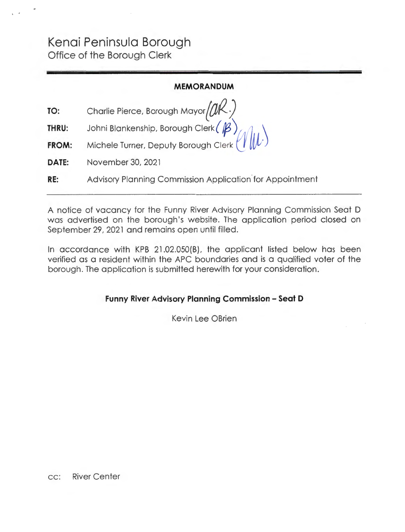# **Kenai Peninsula Borough**  Office of the Borough Clerk

### **MEMORANDUM**

\

| TO: | Charlie Pierce, Borough Mayor $(M \cdot)$ |  |
|-----|-------------------------------------------|--|
|-----|-------------------------------------------|--|

- **THRU:**  Joh ni Blankenship, Borough Clerk { **/f3}** *l/1f* 1, 1
- **FROM:**  Michele Turner, Deputy Borough Clerk *l\_!* **M},;')**
- **DATE:**  November 30, 2021
- **RE:**  Advisory Planning Commission Application for Appointment

A notice of vacancy for the Funny River Advisory Planning Commission Seat D was advertised on the borough's website. The application period closed on September 29, 2021 and remains open until filled.

In accordance with KPB 21.02.050(8), the applicant listed below has been verified as a resident within the APC boundaries and is a qualified voter of the borough. The application is submitted herewith for your consideration .

**Funny River Advisory Planning Commission - Seat D** 

Kevin Lee OBrien

cc: River Center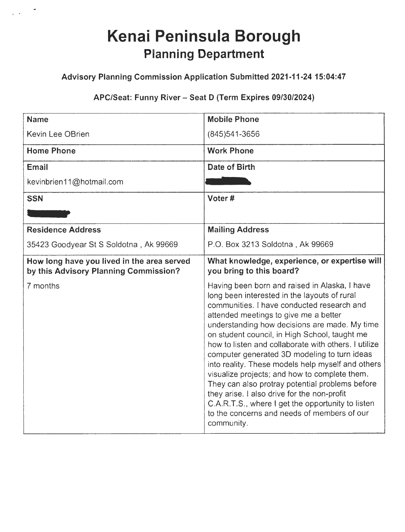# **Kenai Peninsula Borough Planning Department**

 $\mathbb{R}^2$ 

### **Advisory Planning Commission Application Submitted 2021-11-24 15:04:47**

### **APC/Seat: Funny River - Seat D (Term Expires 09/30/2024)**

| <b>Name</b>                                                                         | <b>Mobile Phone</b>                                                                                                                                                                                                                                                                                                                                                                                                                                                                                                                                                                                                                                                                                                      |
|-------------------------------------------------------------------------------------|--------------------------------------------------------------------------------------------------------------------------------------------------------------------------------------------------------------------------------------------------------------------------------------------------------------------------------------------------------------------------------------------------------------------------------------------------------------------------------------------------------------------------------------------------------------------------------------------------------------------------------------------------------------------------------------------------------------------------|
| <b>Kevin Lee OBrien</b>                                                             | (845) 541-3656                                                                                                                                                                                                                                                                                                                                                                                                                                                                                                                                                                                                                                                                                                           |
| <b>Home Phone</b>                                                                   | <b>Work Phone</b>                                                                                                                                                                                                                                                                                                                                                                                                                                                                                                                                                                                                                                                                                                        |
| <b>Email</b>                                                                        | Date of Birth                                                                                                                                                                                                                                                                                                                                                                                                                                                                                                                                                                                                                                                                                                            |
| kevinbrien11@hotmail.com                                                            |                                                                                                                                                                                                                                                                                                                                                                                                                                                                                                                                                                                                                                                                                                                          |
| <b>SSN</b>                                                                          | Voter#                                                                                                                                                                                                                                                                                                                                                                                                                                                                                                                                                                                                                                                                                                                   |
|                                                                                     |                                                                                                                                                                                                                                                                                                                                                                                                                                                                                                                                                                                                                                                                                                                          |
| <b>Residence Address</b>                                                            | <b>Mailing Address</b>                                                                                                                                                                                                                                                                                                                                                                                                                                                                                                                                                                                                                                                                                                   |
| 35423 Goodyear St S Soldotna, Ak 99669                                              | P.O. Box 3213 Soldotna, Ak 99669                                                                                                                                                                                                                                                                                                                                                                                                                                                                                                                                                                                                                                                                                         |
| How long have you lived in the area served<br>by this Advisory Planning Commission? | What knowledge, experience, or expertise will<br>you bring to this board?                                                                                                                                                                                                                                                                                                                                                                                                                                                                                                                                                                                                                                                |
| 7 months                                                                            | Having been born and raised in Alaska, I have<br>long been interested in the layouts of rural<br>communities. I have conducted research and<br>attended meetings to give me a better<br>understanding how decisions are made. My time<br>on student council, in High School, taught me<br>how to listen and collaborate with others. I utilize<br>computer generated 3D modeling to turn ideas<br>into reality. These models help myself and others<br>visualize projects; and how to complete them.<br>They can also protray potential problems before<br>they arise. I also drive for the non-profit<br>C.A.R.T.S., where I get the opportunity to listen<br>to the concerns and needs of members of our<br>community. |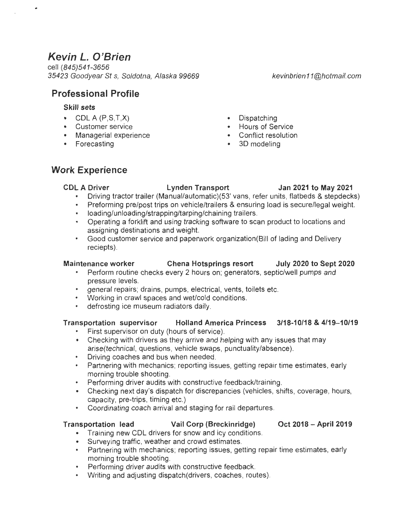# **Kevin L. O'Brien**

cell (845)541-3656 35423 Goodyear St s, Soldotna, Alaska 99669 kevinbrien 11@hotmail.com

**Professional Profile** 

### **Skill sets**

- COL A (P,S,T,X) Dispatching
- Customer service Hours of Service
- Managerial experience Conflict resol<br>• Forecasting 3D modeling
- Forecasting
- 
- 
- 
- 

### **Work Experience**

**COL A Driver Lynden Transport Jan 2021 to May 2021** 

- Driving tractor trailer (Manual/automatic)(53' vans, refer units, flatbeds & stepdecks)
- Preforming pre/post trips on vehicle/trailers & ensuring load is secure/legal weight.
- loading/unloading/strapping/tarping/chaining trailers.
- Operating a forklift and using tracking software to scan product to locations and assigning destinations and weight.
- Good customer service and paperwork organization(Bill of lading and Delivery reciepts).

### **Maintenance worker Chena Hotsprings resort July 2020 to Sept 2020**

- Perform routine checks every 2 hours on; generators, septic/well pumps and pressure levels.
- general repairs; drains, pumps, electrical, vents, toilets etc.
- Working in crawl spaces and wet/cold conditions.
- defrosting ice museum radiators daily.

### **Transportation supervisor Holland America Princess 3/18-10/18 & 4/19-10/19**

- First supervisor on duty (hours of service).
- Checking with drivers as they arrive and helping with any issues that may arise(technical, questions, vehicle swaps, punctuality/absence).
- . Driving coaches and bus when needed .
- . Partnering with mechanics; reporting issues, getting repair time estimates, early morning trouble shooting.
- . Performing driver audits with constructive feedback/training .
- Checking next day's dispatch for discrepancies (vehicles, shifts, coverage, hours, capacity, pre-trips, timing etc.)
- Coordinating coach arrival and staging for rail departures.

### **Transportation lead Vail Corp (Breckinridge) Oct 2018 -April 2019**

- Training new COL drivers for snow and icy conditions.
- Surveying traffic, weather and crowd estimates.
- Partnering with mechanics; reporting issues, getting repair time estimates, early morning trouble shooting.
- Performing driver audits with constructive feedback.
- Writing and adjusting dispatch(drivers, coaches, routes).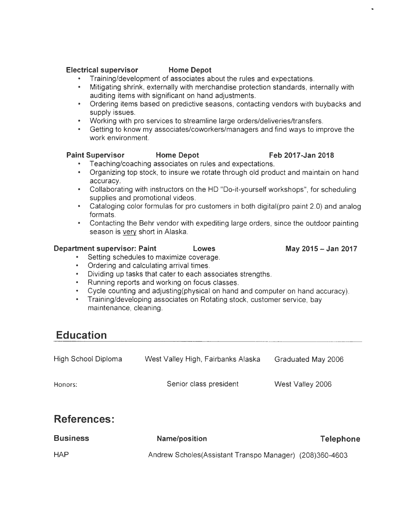- **Electrical supervisor Home Depot** . Training/development of associates about the rules and expectations .
	- . Mitigating shrink, externally with merchandise protection standards, internally with auditing items with significant on hand adjustments.
	- Ordering items based on predictive seasons, contacting vendors with buybacks and supply issues.
	- Working with pro services to streamline large orders/deliveries/transfers .
	- Getting to know my associates/coworkers/managers and find ways to improve the work environment.

### Paint Supervisor **Home Depot** Feb 2017-Jan 2018

- Teaching/coaching associates on rules and expectations.
- Organizing top stock, to insure we rotate through old product and maintain on hand accuracy.
- Collaborating with instructors on the HD "Do-it-yourself workshops", for scheduling supplies and promotional videos.
- Cataloging color formulas for pro customers in both digital(pro paint 2.0) and analog formats.
- Contacting the Behr vendor with expediting large orders, since the outdoor painting season is very short in Alaska.

### **Department supervisor: Paint Lowes Constructed May 2015 - Jan 2017**

Setting schedules to maximize coverage.

- Ordering and calculating arrival times .
- Dividing up tasks that cater to each associates strengths.
- Running reports and working on focus classes .
- Cycle counting and adjusting(physical on hand and computer on hand accuracy).
- Training/developing associates on Rotating stock, customer service, bay maintenance, cleaning.

## **Education**

| High School Diploma | West Valley High, Fairbanks Alaska | Graduated May 2006 |
|---------------------|------------------------------------|--------------------|
| Honors:             | Senior class president             | West Valley 2006   |
| <b>References:</b>  |                                    |                    |

| <b>Business</b> | Name/position                                             | <b>Telephone</b> |
|-----------------|-----------------------------------------------------------|------------------|
| <b>HAP</b>      | Andrew Scholes (Assistant Transpo Manager) (208) 360-4603 |                  |